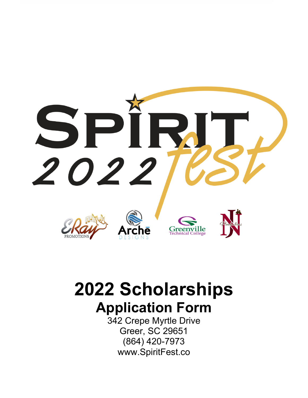

# **2022 Scholarships Application Form**

342 Crepe Myrtle Drive Greer, SC 29651 (864) 420-7973 www.SpiritFest.co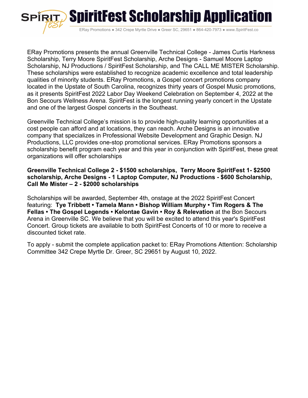

ERay Promotions ● 342 Crepe Myrtle Drive ● Greer SC, 29651 ● 864-420-7973 ● www.SpiritFest.co

ERay Promotions presents the annual Greenville Technical College - James Curtis Harkness Scholarship, Terry Moore SpiritFest Scholarship, Arche Designs - Samuel Moore Laptop Scholarship, NJ Productions / SpiritFest Scholarship, and The CALL ME MISTER Scholarship. These scholarships were established to recognize academic excellence and total leadership qualities of minority students. ERay Promotions, a Gospel concert promotions company located in the Upstate of South Carolina, recognizes thirty years of Gospel Music promotions, as it presents SpiritFest 2022 Labor Day Weekend Celebration on September 4, 2022 at the Bon Secours Wellness Arena. SpiritFest is the longest running yearly concert in the Upstate and one of the largest Gospel concerts in the Southeast.

Greenville Technical College's mission is to provide high-quality learning opportunities at a cost people can afford and at locations, they can reach. Arche Designs is an innovative company that specializes in Professional Website Development and Graphic Design. NJ Productions, LLC provides one-stop promotional services. ERay Promotions sponsors a scholarship benefit program each year and this year in conjunction with SpiritFest, these great organizations will offer scholarships

## **Greenville Technical College 2 - \$1500 scholarships, Terry Moore SpiritFest 1- \$2500 scholarship, Arche Designs - 1 Laptop Computer, NJ Productions - \$600 Scholarship, Call Me Mister – 2 - \$2000 scholarships**

Scholarships will be awarded, September 4th, onstage at the 2022 SpiritFest Concert featuring: **Tye Tribbett • Tamela Mann • Bishop William Murphy • Tim Rogers & The Fellas • The Gospel Legends • Kelontae Gavin • Roy & Relevation** at the Bon Secours Arena in Greenville SC. We believe that you will be excited to attend this year's SpiritFest Concert. Group tickets are available to both SpiritFest Concerts of 10 or more to receive a discounted ticket rate.

To apply - submit the complete application packet to: ERay Promotions Attention: Scholarship Committee 342 Crepe Myrtle Dr. Greer, SC 29651 by August 10, 2022.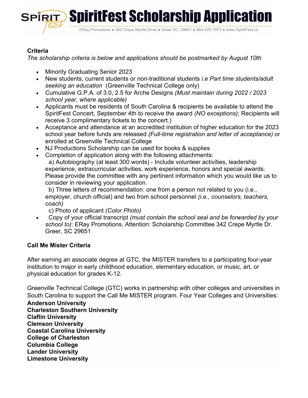

# **Criteria**

*The scholarship criteria is below and applications should be postmarked by August 10th*

- Minority Graduating Senior 2023
- New students, current students or non-traditional students *i.e Part time students/adult seeking an education* (Greenville Technical College only)
- Cumulative G.P.A. of 3.0, 2.5 for Arche Designs *(Must maintain during 2022 / 2023 school year, where applicable)*
- Applicants must be residents of South Carolina & recipients be available to attend the SpiritFest Concert, September 4th to receive the award *(NO exceptions)*; Recipients will receive 3 complimentary tickets to the concert.)
- Acceptance and attendance at an accredited institution of higher education for the 2023 school year before funds are released *(Full-time registration and letter of acceptance)* or enrolled at Greenville Technical College
- NJ Productions Scholarship can be used for books & supplies
- Completion of application along with the following attachments: a) Autobiography (at least 300 words) - Include volunteer activities, leadership experience, extracurricular activities, work experience, honors and special awards. Please provide the committee with any pertinent information which you would like us to consider in reviewing your application.

 b) Three letters of recommendation: one from a person not related to you (i.e., employer, church official) and two from school personnel *(i.e., counselors, teachers, coach)*

c) Photo of applicant *(Color Photo)*

 Copy of your official transcript *(must contain the school seal and be forwarded by your school to)*: ERay Promotions, Attention: Scholarship Committee 342 Crepe Myrtle Dr. Greer, SC 29651

# **Call Me Mister Criteria**

After earning an associate degree at GTC, the MISTER transfers to a participating four-year institution to major in early childhood education, elementary education, or music, art, or physical education for grades K-12.

Greenville Technical College (GTC) works in partnership with other colleges and universities in South Carolina to support the Call Me MISTER program. Four Year Colleges and Universities: **Anderson University Charleston Southern University Claflin University Clemson University** 

**Coastal Carolina University College of Charleston** 

**Columbia College** 

**Lander University Limestone University**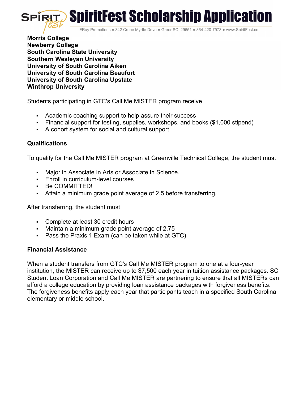

ERay Promotions ● 342 Crepe Myrtle Drive ● Greer SC, 29651 ● 864-420-7973 ● www.SpiritFest.co

**Morris College Newberry College South Carolina State University Southern Wesleyan University University of South Carolina Aiken University of South Carolina Beaufort University of South Carolina Upstate Winthrop University** 

Students participating in GTC's Call Me MISTER program receive

- Academic coaching support to help assure their success
- Financial support for testing, supplies, workshops, and books (\$1,000 stipend)
- A cohort system for social and cultural support

## **Qualifications**

To qualify for the Call Me MISTER program at Greenville Technical College, the student must

- Major in Associate in Arts or Associate in Science.
- **Enroll in curriculum-level courses**
- Be COMMITTED!
- Attain a minimum grade point average of 2.5 before transferring.

After transferring, the student must

- Complete at least 30 credit hours
- Maintain a minimum grade point average of 2.75
- Pass the Praxis 1 Exam (can be taken while at GTC)

#### **Financial Assistance**

When a student transfers from GTC's Call Me MISTER program to one at a four-year institution, the MISTER can receive up to \$7,500 each year in tuition assistance packages. SC Student Loan Corporation and Call Me MISTER are partnering to ensure that all MISTERs can afford a college education by providing loan assistance packages with forgiveness benefits. The forgiveness benefits apply each year that participants teach in a specified South Carolina elementary or middle school.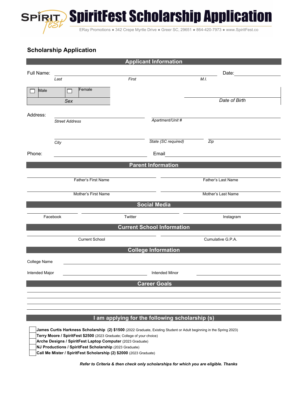

ERay Promotions ● 342 Crepe Myrtle Drive ● Greer SC, 29651 ● 864-420-7973 ● www.SpiritFest.co

# **Scholarship Application**

| <b>Applicant Information</b>                    |                       |         |                     |                    |                                                                                                                                                                                                                                |  |
|-------------------------------------------------|-----------------------|---------|---------------------|--------------------|--------------------------------------------------------------------------------------------------------------------------------------------------------------------------------------------------------------------------------|--|
| Full Name:                                      |                       |         |                     |                    | Date: the contract of the contract of the contract of the contract of the contract of the contract of the contract of the contract of the contract of the contract of the contract of the contract of the contract of the cont |  |
|                                                 | Last                  | First   |                     | M.I.               |                                                                                                                                                                                                                                |  |
|                                                 | Female                |         |                     |                    |                                                                                                                                                                                                                                |  |
| Male                                            | $\Box$                |         |                     |                    |                                                                                                                                                                                                                                |  |
|                                                 | Sex                   |         |                     |                    | Date of Birth                                                                                                                                                                                                                  |  |
|                                                 |                       |         |                     |                    |                                                                                                                                                                                                                                |  |
| Address:                                        | <b>Street Address</b> |         | Apartment/Unit #    |                    |                                                                                                                                                                                                                                |  |
|                                                 |                       |         |                     |                    |                                                                                                                                                                                                                                |  |
|                                                 |                       |         |                     |                    |                                                                                                                                                                                                                                |  |
|                                                 | City                  |         | State (SC required) | Zip                |                                                                                                                                                                                                                                |  |
| Phone:                                          |                       |         | Email               |                    |                                                                                                                                                                                                                                |  |
| <u> 1989 - John Stein, Amerikaansk kanton (</u> |                       |         |                     |                    |                                                                                                                                                                                                                                |  |
| <b>Parent Information</b>                       |                       |         |                     |                    |                                                                                                                                                                                                                                |  |
| Father's First Name                             |                       |         | Father's Last Name  |                    |                                                                                                                                                                                                                                |  |
|                                                 |                       |         |                     |                    |                                                                                                                                                                                                                                |  |
| Mother's First Name                             |                       |         |                     | Mother's Last Name |                                                                                                                                                                                                                                |  |
| <b>Social Media</b>                             |                       |         |                     |                    |                                                                                                                                                                                                                                |  |
|                                                 |                       |         |                     |                    |                                                                                                                                                                                                                                |  |
| Facebook                                        |                       | Twitter |                     | Instagram          |                                                                                                                                                                                                                                |  |
| <b>Current School Information</b>               |                       |         |                     |                    |                                                                                                                                                                                                                                |  |
|                                                 |                       |         |                     |                    |                                                                                                                                                                                                                                |  |
| <b>Current School</b>                           |                       |         | Cumulative G.P.A.   |                    |                                                                                                                                                                                                                                |  |
| <b>College Information</b>                      |                       |         |                     |                    |                                                                                                                                                                                                                                |  |
| College Name                                    |                       |         |                     |                    |                                                                                                                                                                                                                                |  |
|                                                 |                       |         |                     |                    |                                                                                                                                                                                                                                |  |
| Intended Major<br><b>Intended Minor</b>         |                       |         |                     |                    |                                                                                                                                                                                                                                |  |
| <b>Career Goals</b>                             |                       |         |                     |                    |                                                                                                                                                                                                                                |  |
|                                                 |                       |         |                     |                    |                                                                                                                                                                                                                                |  |
|                                                 |                       |         |                     |                    |                                                                                                                                                                                                                                |  |
|                                                 |                       |         |                     |                    |                                                                                                                                                                                                                                |  |
| I am applying for the following scholarship (s) |                       |         |                     |                    |                                                                                                                                                                                                                                |  |
|                                                 |                       |         |                     |                    |                                                                                                                                                                                                                                |  |

 **James Curtis Harkness Scholarship (2) \$1500** (2022 Graduate, Existing Student or Adult beginning in the Spring 2023)  **Terry Moore / SpiritFest \$2500** (2023 Graduate; College of your choice)  **Arche Designs / SpiritFest Laptop Computer** (2023 Graduate)  **NJ Productions / SpiritFest Scholarship** (2023 Graduate)

 **Call Me Mister / SpiritFest Scholarship (2) \$2000** (2023 Graduate)

*Refer to Criteria & then check only scholarships for which you are eligible. Thanks*